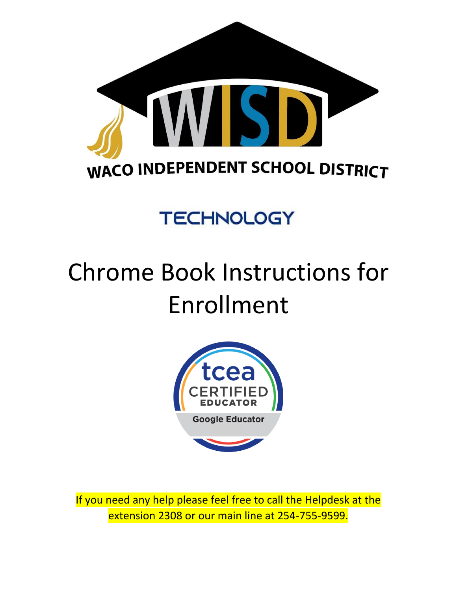

## **TECHNOLOGY**

## Chrome Book Instructions for Enrollment



If you need any help please feel free to call the Helpdesk at the extension 2308 or our main line at 254-755-9599.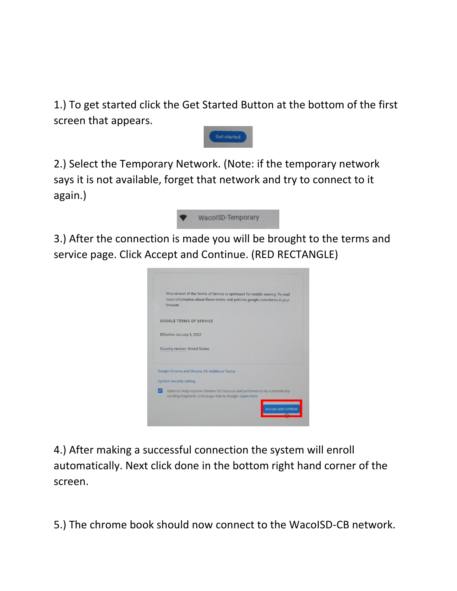1.) To get started click the Get Started Button at the bottom of the first screen that appears.



2.) Select the Temporary Network. (Note: if the temporary network says it is not available, forget that network and try to connect to it again.)



3.) After the connection is made you will be brought to the terms and service page. Click Accept and Continue. (RED RECTANGLE)



4.) After making a successful connection the system will enroll automatically. Next click done in the bottom right hand corner of the screen.

5.) The chrome book should now connect to the WacoISD-CB network.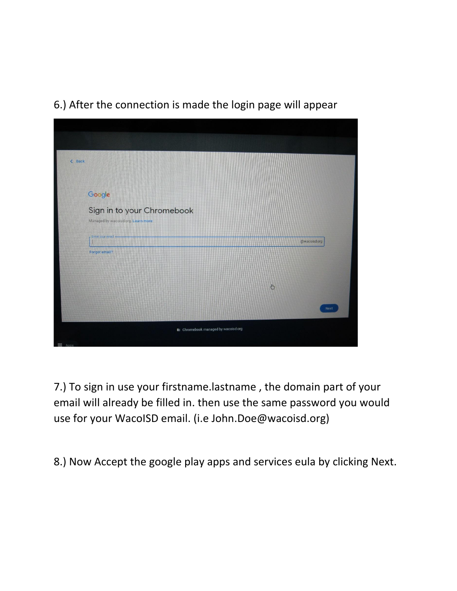

6.) After the connection is made the login page will appear

7.) To sign in use your firstname.lastname , the domain part of your email will already be filled in. then use the same password you would use for your WacoISD email. (i.e John.Doe@wacoisd.org)

8.) Now Accept the google play apps and services eula by clicking Next.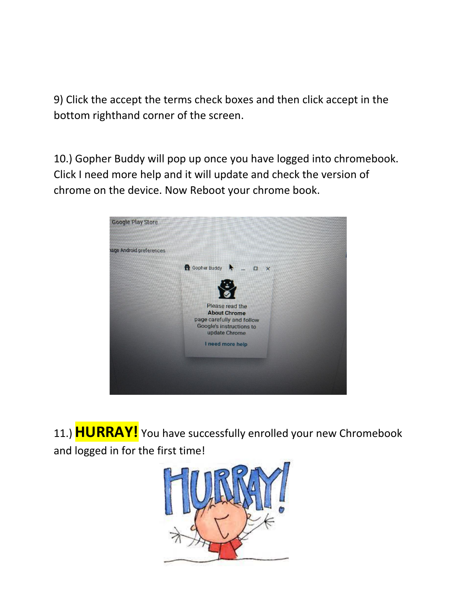9) Click the accept the terms check boxes and then click accept in the bottom righthand corner of the screen.

10.) Gopher Buddy will pop up once you have logged into chromebook. Click I need more help and it will update and check the version of chrome on the device. Now Reboot your chrome book.



11.) **HURRAY!** You have successfully enrolled your new Chromebook and logged in for the first time!